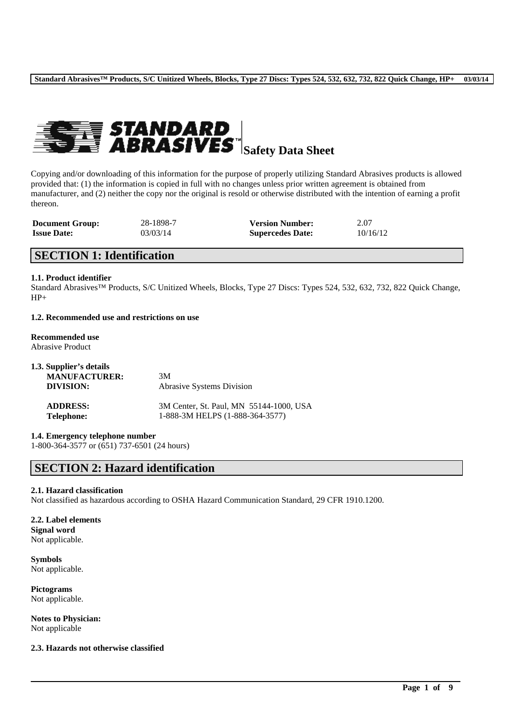

Copying and/or downloading of this information for the purpose of properly utilizing Standard Abrasives products is allowed provided that: (1) the information is copied in full with no changes unless prior written agreement is obtained from manufacturer, and (2) neither the copy nor the original is resold or otherwise distributed with the intention of earning a profit thereon.

| <b>Document Group:</b> | 28-1898-7 | <b>Version Number:</b>  | 2.07     |
|------------------------|-----------|-------------------------|----------|
| <b>Issue Date:</b>     | 03/03/14  | <b>Supercedes Date:</b> | 10/16/12 |

# **SECTION 1: Identification**

## **1.1. Product identifier**

Standard Abrasives™ Products, S/C Unitized Wheels, Blocks, Type 27 Discs: Types 524, 532, 632, 732, 822 Quick Change,  $HP+$ 

## **1.2. Recommended use and restrictions on use**

#### **Recommended use**

Abrasive Product

| 1.3. Supplier's details |                                         |
|-------------------------|-----------------------------------------|
| <b>MANUFACTURER:</b>    | 3M                                      |
| DIVISION:               | <b>Abrasive Systems Division</b>        |
| <b>ADDRESS:</b>         | 3M Center, St. Paul, MN 55144-1000, USA |
| <b>Telephone:</b>       | 1-888-3M HELPS (1-888-364-3577)         |

#### **1.4. Emergency telephone number**

1-800-364-3577 or (651) 737-6501 (24 hours)

# **SECTION 2: Hazard identification**

## **2.1. Hazard classification**

Not classified as hazardous according to OSHA Hazard Communication Standard, 29 CFR 1910.1200.

\_\_\_\_\_\_\_\_\_\_\_\_\_\_\_\_\_\_\_\_\_\_\_\_\_\_\_\_\_\_\_\_\_\_\_\_\_\_\_\_\_\_\_\_\_\_\_\_\_\_\_\_\_\_\_\_\_\_\_\_\_\_\_\_\_\_\_\_\_\_\_\_\_\_\_\_\_\_\_\_\_\_\_\_\_\_\_\_\_\_

#### **2.2. Label elements Signal word** Not applicable.

**Symbols** Not applicable.

**Pictograms** Not applicable.

**Notes to Physician:** Not applicable

#### **2.3. Hazards not otherwise classified**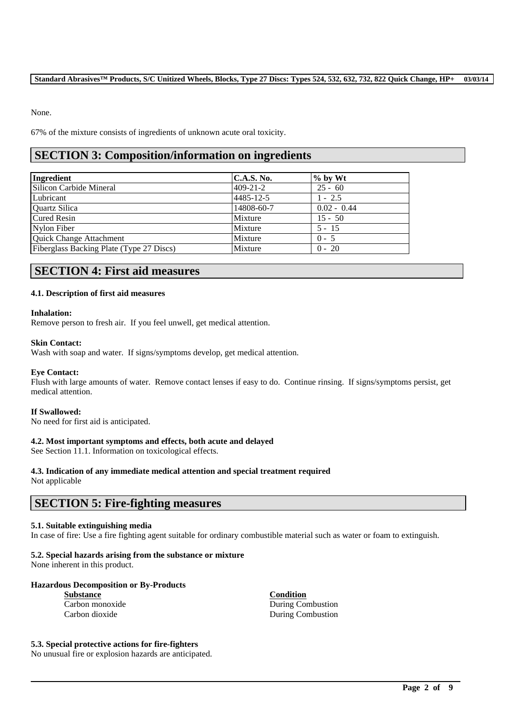## **Standard Abrasives™ Products, S/C Unitized Wheels, Blocks, Type 27 Discs: Types 524, 532, 632, 732, 822 Quick Change, HP+ 03/03/14**

None.

67% of the mixture consists of ingredients of unknown acute oral toxicity.

# **SECTION 3: Composition/information on ingredients**

| Ingredient                               | <b>C.A.S. No.</b> | $\%$ by Wt    |
|------------------------------------------|-------------------|---------------|
| Silicon Carbide Mineral                  | $409 - 21 - 2$    | $25 - 60$     |
| Lubricant                                | 4485-12-5         | $1 - 2.5$     |
| Ouartz Silica                            | 14808-60-7        | $0.02 - 0.44$ |
| <b>Cured Resin</b>                       | Mixture           | $15 - 50$     |
| Nylon Fiber                              | Mixture           | $5 - 15$      |
| Quick Change Attachment                  | Mixture           | $0 - 5$       |
| Fiberglass Backing Plate (Type 27 Discs) | Mixture           | $0 - 20$      |

# **SECTION 4: First aid measures**

## **4.1. Description of first aid measures**

## **Inhalation:**

Remove person to fresh air. If you feel unwell, get medical attention.

#### **Skin Contact:**

Wash with soap and water. If signs/symptoms develop, get medical attention.

## **Eye Contact:**

Flush with large amounts of water. Remove contact lenses if easy to do. Continue rinsing. If signs/symptoms persist, get medical attention.

## **If Swallowed:**

No need for first aid is anticipated.

## **4.2. Most important symptoms and effects, both acute and delayed**

See Section 11.1. Information on toxicological effects.

## **4.3. Indication of any immediate medical attention and special treatment required**

Not applicable

## **SECTION 5: Fire-fighting measures**

## **5.1. Suitable extinguishing media**

In case of fire: Use a fire fighting agent suitable for ordinary combustible material such as water or foam to extinguish.

\_\_\_\_\_\_\_\_\_\_\_\_\_\_\_\_\_\_\_\_\_\_\_\_\_\_\_\_\_\_\_\_\_\_\_\_\_\_\_\_\_\_\_\_\_\_\_\_\_\_\_\_\_\_\_\_\_\_\_\_\_\_\_\_\_\_\_\_\_\_\_\_\_\_\_\_\_\_\_\_\_\_\_\_\_\_\_\_\_\_

## **5.2. Special hazards arising from the substance or mixture**

None inherent in this product.

## **Hazardous Decomposition or By-Products**

**Substance Condition**

Carbon monoxide During Combustion Carbon dioxide During Combustion

## **5.3. Special protective actions for fire-fighters**

No unusual fire or explosion hazards are anticipated.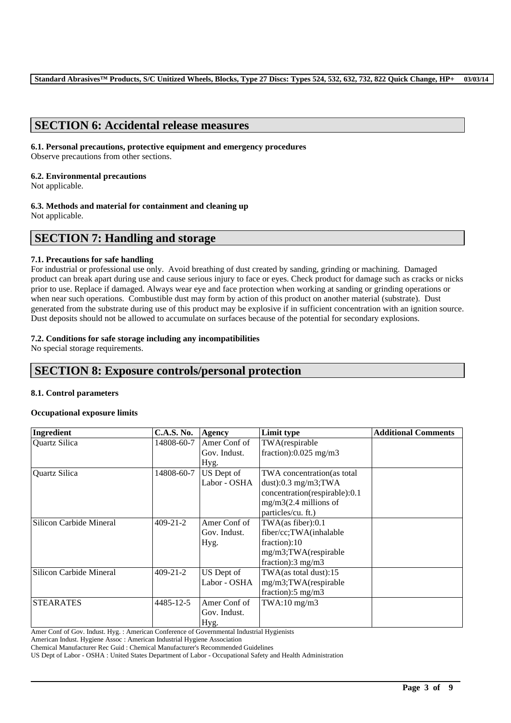## **SECTION 6: Accidental release measures**

## **6.1. Personal precautions, protective equipment and emergency procedures**

Observe precautions from other sections.

### **6.2. Environmental precautions**

Not applicable.

**6.3. Methods and material for containment and cleaning up**

Not applicable.

# **SECTION 7: Handling and storage**

## **7.1. Precautions for safe handling**

For industrial or professional use only. Avoid breathing of dust created by sanding, grinding or machining. Damaged product can break apart during use and cause serious injury to face or eyes. Check product for damage such as cracks or nicks prior to use. Replace if damaged. Always wear eye and face protection when working at sanding or grinding operations or when near such operations. Combustible dust may form by action of this product on another material (substrate). Dust generated from the substrate during use of this product may be explosive if in sufficient concentration with an ignition source. Dust deposits should not be allowed to accumulate on surfaces because of the potential for secondary explosions.

## **7.2. Conditions for safe storage including any incompatibilities**

No special storage requirements.

# **SECTION 8: Exposure controls/personal protection**

## **8.1. Control parameters**

## **Occupational exposure limits**

| <b>Ingredient</b>       | C.A.S. No.     | Agency       | Limit type                    | <b>Additional Comments</b> |
|-------------------------|----------------|--------------|-------------------------------|----------------------------|
| Quartz Silica           | 14808-60-7     | Amer Conf of | TWA(respirable                |                            |
|                         |                | Gov. Indust. | fraction): $0.025$ mg/m3      |                            |
|                         |                | Hyg.         |                               |                            |
| Quartz Silica           | 14808-60-7     | US Dept of   | TWA concentration(as total    |                            |
|                         |                | Labor - OSHA | dust): $0.3$ mg/m $3$ ;TWA    |                            |
|                         |                |              | concentration(respirable):0.1 |                            |
|                         |                |              | $mg/m3(2.4$ millions of       |                            |
|                         |                |              | particles/cu. ft.)            |                            |
| Silicon Carbide Mineral | $409 - 21 - 2$ | Amer Conf of | $TWA$ (as fiber): $0.1$       |                            |
|                         |                | Gov. Indust. | fiber/cc;TWA(inhalable        |                            |
|                         |                | Hyg.         | fraction):10                  |                            |
|                         |                |              | mg/m3;TWA(respirable          |                            |
|                         |                |              | fraction): $3 \text{ mg/m}$   |                            |
| Silicon Carbide Mineral | $409 - 21 - 2$ | US Dept of   | TWA(as total dust):15         |                            |
|                         |                | Labor - OSHA | mg/m3;TWA(respirable          |                            |
|                         |                |              | fraction): $5 \text{ mg/m}$ 3 |                            |
| <b>STEARATES</b>        | 4485-12-5      | Amer Conf of | $TWA:10$ mg/m $3$             |                            |
|                         |                | Gov. Indust. |                               |                            |
|                         |                | Hyg.         |                               |                            |

\_\_\_\_\_\_\_\_\_\_\_\_\_\_\_\_\_\_\_\_\_\_\_\_\_\_\_\_\_\_\_\_\_\_\_\_\_\_\_\_\_\_\_\_\_\_\_\_\_\_\_\_\_\_\_\_\_\_\_\_\_\_\_\_\_\_\_\_\_\_\_\_\_\_\_\_\_\_\_\_\_\_\_\_\_\_\_\_\_\_

Amer Conf of Gov. Indust. Hyg. : American Conference of Governmental Industrial Hygienists

American Indust. Hygiene Assoc : American Industrial Hygiene Association

Chemical Manufacturer Rec Guid : Chemical Manufacturer's Recommended Guidelines

US Dept of Labor - OSHA : United States Department of Labor - Occupational Safety and Health Administration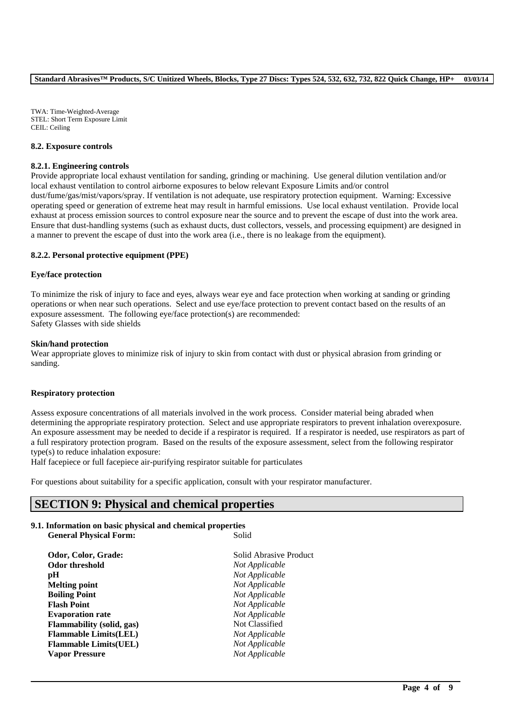TWA: Time-Weighted-Average STEL: Short Term Exposure Limit CEIL: Ceiling

#### **8.2. Exposure controls**

#### **8.2.1. Engineering controls**

Provide appropriate local exhaust ventilation for sanding, grinding or machining. Use general dilution ventilation and/or local exhaust ventilation to control airborne exposures to below relevant Exposure Limits and/or control dust/fume/gas/mist/vapors/spray. If ventilation is not adequate, use respiratory protection equipment. Warning: Excessive operating speed or generation of extreme heat may result in harmful emissions. Use local exhaust ventilation. Provide local exhaust at process emission sources to control exposure near the source and to prevent the escape of dust into the work area. Ensure that dust-handling systems (such as exhaust ducts, dust collectors, vessels, and processing equipment) are designed in a manner to prevent the escape of dust into the work area (i.e., there is no leakage from the equipment).

#### **8.2.2. Personal protective equipment (PPE)**

#### **Eye/face protection**

To minimize the risk of injury to face and eyes, always wear eye and face protection when working at sanding or grinding operations or when near such operations. Select and use eye/face protection to prevent contact based on the results of an exposure assessment. The following eye/face protection(s) are recommended: Safety Glasses with side shields

#### **Skin/hand protection**

Wear appropriate gloves to minimize risk of injury to skin from contact with dust or physical abrasion from grinding or sanding.

#### **Respiratory protection**

Assess exposure concentrations of all materials involved in the work process. Consider material being abraded when determining the appropriate respiratory protection. Select and use appropriate respirators to prevent inhalation overexposure. An exposure assessment may be needed to decide if a respirator is required. If a respirator is needed, use respirators as part of a full respiratory protection program. Based on the results of the exposure assessment, select from the following respirator type(s) to reduce inhalation exposure:

\_\_\_\_\_\_\_\_\_\_\_\_\_\_\_\_\_\_\_\_\_\_\_\_\_\_\_\_\_\_\_\_\_\_\_\_\_\_\_\_\_\_\_\_\_\_\_\_\_\_\_\_\_\_\_\_\_\_\_\_\_\_\_\_\_\_\_\_\_\_\_\_\_\_\_\_\_\_\_\_\_\_\_\_\_\_\_\_\_\_

Half facepiece or full facepiece air-purifying respirator suitable for particulates

For questions about suitability for a specific application, consult with your respirator manufacturer.

# **SECTION 9: Physical and chemical properties**

## **9.1. Information on basic physical and chemical properties**

| <b>General Physical Form:</b>    | Solid                  |
|----------------------------------|------------------------|
| Odor, Color, Grade:              | Solid Abrasive Product |
| Odor threshold                   | Not Applicable         |
| pH                               | Not Applicable         |
| <b>Melting point</b>             | Not Applicable         |
| <b>Boiling Point</b>             | Not Applicable         |
| <b>Flash Point</b>               | Not Applicable         |
| <b>Evaporation rate</b>          | Not Applicable         |
| <b>Flammability</b> (solid, gas) | Not Classified         |
| <b>Flammable Limits(LEL)</b>     | Not Applicable         |
| <b>Flammable Limits(UEL)</b>     | Not Applicable         |
| <b>Vapor Pressure</b>            | Not Applicable         |
|                                  |                        |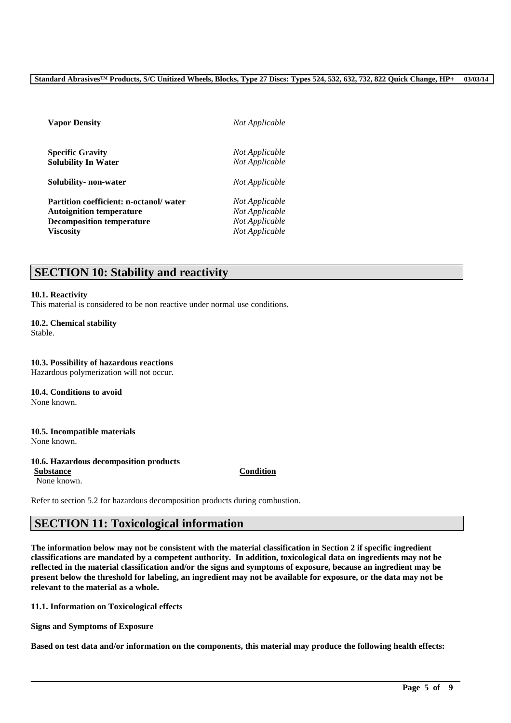| <b>Vapor Density</b>                    | Not Applicable |  |
|-----------------------------------------|----------------|--|
| <b>Specific Gravity</b>                 | Not Applicable |  |
| <b>Solubility In Water</b>              | Not Applicable |  |
| Solubility- non-water                   | Not Applicable |  |
| Partition coefficient: n-octanol/ water | Not Applicable |  |
| <b>Autoignition temperature</b>         | Not Applicable |  |
| <b>Decomposition temperature</b>        | Not Applicable |  |
| Viscositv                               | Not Applicable |  |
|                                         |                |  |

# **SECTION 10: Stability and reactivity**

#### **10.1. Reactivity**

This material is considered to be non reactive under normal use conditions.

**10.2. Chemical stability** Stable.

**10.3. Possibility of hazardous reactions** Hazardous polymerization will not occur.

**10.4. Conditions to avoid** None known.

**10.5. Incompatible materials** None known.

## **10.6. Hazardous decomposition products**

None known.

Refer to section 5.2 for hazardous decomposition products during combustion.

# **SECTION 11: Toxicological information**

**The information below may not be consistent with the material classification in Section 2 if specific ingredient classifications are mandated by a competent authority. In addition, toxicological data on ingredients may not be reflected in the material classification and/or the signs and symptoms of exposure, because an ingredient may be present below the threshold for labeling, an ingredient may not be available for exposure, or the data may not be relevant to the material as a whole.**

**11.1. Information on Toxicological effects**

**Signs and Symptoms of Exposure**

**Based on test data and/or information on the components, this material may produce the following health effects:**

\_\_\_\_\_\_\_\_\_\_\_\_\_\_\_\_\_\_\_\_\_\_\_\_\_\_\_\_\_\_\_\_\_\_\_\_\_\_\_\_\_\_\_\_\_\_\_\_\_\_\_\_\_\_\_\_\_\_\_\_\_\_\_\_\_\_\_\_\_\_\_\_\_\_\_\_\_\_\_\_\_\_\_\_\_\_\_\_\_\_

## **Substance Condition**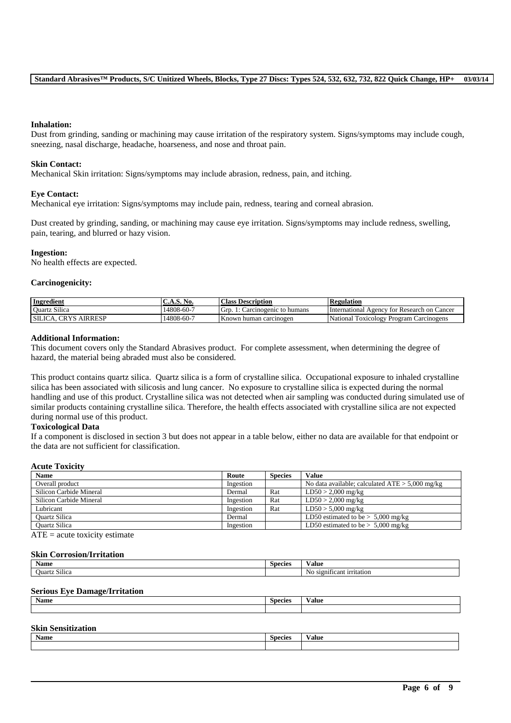#### **Inhalation:**

Dust from grinding, sanding or machining may cause irritation of the respiratory system. Signs/symptoms may include cough, sneezing, nasal discharge, headache, hoarseness, and nose and throat pain.

#### **Skin Contact:**

Mechanical Skin irritation: Signs/symptoms may include abrasion, redness, pain, and itching.

#### **Eye Contact:**

Mechanical eye irritation: Signs/symptoms may include pain, redness, tearing and corneal abrasion.

Dust created by grinding, sanding, or machining may cause eye irritation. Signs/symptoms may include redness, swelling, pain, tearing, and blurred or hazy vision.

#### **Ingestion:**

No health effects are expected.

#### **Carcinogenicity:**

| <b>Ingredient</b>         | No.<br>. <i>. .</i> | <b>Class Description</b>      | Regulation                                      |
|---------------------------|---------------------|-------------------------------|-------------------------------------------------|
| <b>Ouartz Silica</b>      | 14808-60-7          | Grt<br>Carcinogenic to humans | International Agency for Research on Cancer     |
| <b>AIRRESP</b><br>SILICA. | 14808-60-7          | Known human carcinogen        | National<br>Toxicology<br>/ Program Carcinogens |

## **Additional Information:**

This document covers only the Standard Abrasives product. For complete assessment, when determining the degree of hazard, the material being abraded must also be considered.

This product contains quartz silica. Quartz silica is a form of crystalline silica. Occupational exposure to inhaled crystalline silica has been associated with silicosis and lung cancer. No exposure to crystalline silica is expected during the normal handling and use of this product. Crystalline silica was not detected when air sampling was conducted during simulated use of similar products containing crystalline silica. Therefore, the health effects associated with crystalline silica are not expected during normal use of this product.

#### **Toxicological Data**

If a component is disclosed in section 3 but does not appear in a table below, either no data are available for that endpoint or the data are not sufficient for classification.

#### **Acute Toxicity**

| <b>Name</b>             | Route     | <b>Species</b> | <b>Value</b>                                      |
|-------------------------|-----------|----------------|---------------------------------------------------|
| Overall product         | Ingestion |                | No data available; calculated $ATE > 5,000$ mg/kg |
| Silicon Carbide Mineral | Dermal    | Rat            | $LD50 > 2,000$ mg/kg                              |
| Silicon Carbide Mineral | Ingestion | Rat            | $LD50 > 2,000$ mg/kg                              |
| Lubricant               | Ingestion | Rat            | $LD50 > 5,000$ mg/kg                              |
| <b>Ouartz Silica</b>    | Dermal    |                | LD50 estimated to be $> 5,000$ mg/kg              |
| <b>Ouartz Silica</b>    | Ingestion |                | LD50 estimated to be $> 5,000$ mg/kg              |

 $ATE = acute$  toxicity estimate

#### **Skin Corrosion/Irritation**

| Name                 | Species | ′alue                                              |
|----------------------|---------|----------------------------------------------------|
| $-$<br>Ouartz Silica |         | $\sim$<br>: irritation<br>- S1211.<br>ΝC<br>ticant |

#### **Serious Eye Damage/Irritation**

| Name | Species | alue |
|------|---------|------|
|      |         |      |
|      |         |      |

## **Skin Sensitization**

| Name | <b>Species</b> | ⁄ alue |
|------|----------------|--------|
|      |                |        |

\_\_\_\_\_\_\_\_\_\_\_\_\_\_\_\_\_\_\_\_\_\_\_\_\_\_\_\_\_\_\_\_\_\_\_\_\_\_\_\_\_\_\_\_\_\_\_\_\_\_\_\_\_\_\_\_\_\_\_\_\_\_\_\_\_\_\_\_\_\_\_\_\_\_\_\_\_\_\_\_\_\_\_\_\_\_\_\_\_\_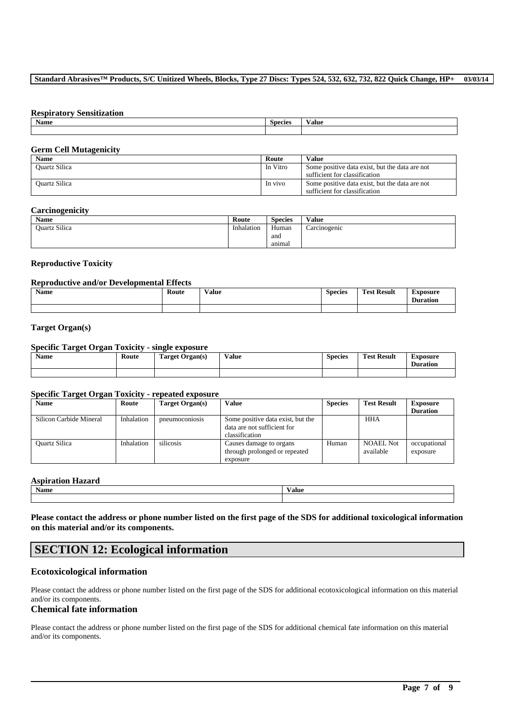## **Standard Abrasives™ Products, S/C Unitized Wheels, Blocks, Type 27 Discs: Types 524, 532, 632, 732, 822 Quick Change, HP+ 03/03/14**

#### **Respiratory Sensitization**

| <b>Name</b> | <b>Species</b> | Value |
|-------------|----------------|-------|
|             |                |       |

### **Germ Cell Mutagenicity**

| <b>Name</b>          | Route    | Value                                          |
|----------------------|----------|------------------------------------------------|
| <b>Ouartz Silica</b> | In Vitro | Some positive data exist, but the data are not |
|                      |          | sufficient for classification                  |
| <b>Ouartz Silica</b> | In vivo  | Some positive data exist, but the data are not |
|                      |          | sufficient for classification                  |

#### **Carcinogenicity**

| Name          | Route      | $\sim$<br><b>Species</b> | <b>Value</b> |
|---------------|------------|--------------------------|--------------|
| Quartz Silica | Inhalation | $\sim$ $\sim$<br>Human   | Carcinogenic |
|               |            | and                      |              |
|               |            | anımal                   |              |

### **Reproductive Toxicity**

#### **Reproductive and/or Developmental Effects**

| Name | Route<br>. | $ -$<br>V alue<br>$\cdots$ | <b>Species</b><br>- - - | <b>CONTRACTOR</b><br><b>Result</b><br>'est | Exposure<br>. .<br><b>Duration</b> |
|------|------------|----------------------------|-------------------------|--------------------------------------------|------------------------------------|
|      |            |                            |                         |                                            |                                    |

## **Target Organ(s)**

## **Specific Target Organ Toxicity - single exposure**

| Name | Route | Target Organ(s) | Value | <b>Species</b> | <b>Test Result</b> | ∽<br>Exposure<br><b>Duration</b> |
|------|-------|-----------------|-------|----------------|--------------------|----------------------------------|
|      |       |                 |       |                |                    |                                  |

#### **Specific Target Organ Toxicity - repeated exposure**

| <b>Name</b>             | Route      | Target Organ(s) | <b>Value</b>                                                                       | <b>Species</b> | <b>Test Result</b>            | <b>Exposure</b><br><b>Duration</b> |
|-------------------------|------------|-----------------|------------------------------------------------------------------------------------|----------------|-------------------------------|------------------------------------|
| Silicon Carbide Mineral | Inhalation | pneumoconiosis  | Some positive data exist, but the<br>data are not sufficient for<br>classification |                | <b>HHA</b>                    |                                    |
| Ouartz Silica           | Inhalation | silicosis       | Causes damage to organs<br>through prolonged or repeated<br>exposure               | Human          | <b>NOAEL Not</b><br>available | occupational<br>exposure           |

#### **Aspiration Hazard**

| Asphanon Hazaru          |               |
|--------------------------|---------------|
| $\bullet$<br><b>Name</b> | $-1$<br>Value |
|                          |               |

**Please contact the address or phone number listed on the first page of the SDS for additional toxicological information on this material and/or its components.**

# **SECTION 12: Ecological information**

#### **Ecotoxicological information**

Please contact the address or phone number listed on the first page of the SDS for additional ecotoxicological information on this material and/or its components.

#### **Chemical fate information**

Please contact the address or phone number listed on the first page of the SDS for additional chemical fate information on this material and/or its components.

\_\_\_\_\_\_\_\_\_\_\_\_\_\_\_\_\_\_\_\_\_\_\_\_\_\_\_\_\_\_\_\_\_\_\_\_\_\_\_\_\_\_\_\_\_\_\_\_\_\_\_\_\_\_\_\_\_\_\_\_\_\_\_\_\_\_\_\_\_\_\_\_\_\_\_\_\_\_\_\_\_\_\_\_\_\_\_\_\_\_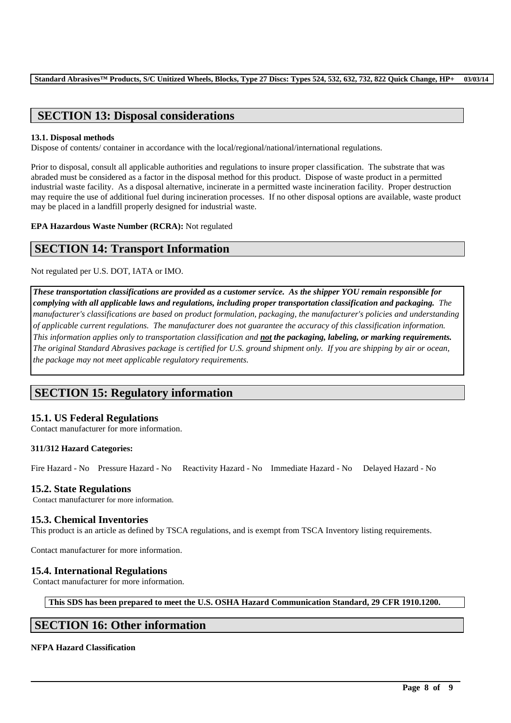# **SECTION 13: Disposal considerations**

## **13.1. Disposal methods**

Dispose of contents/ container in accordance with the local/regional/national/international regulations.

Prior to disposal, consult all applicable authorities and regulations to insure proper classification. The substrate that was abraded must be considered as a factor in the disposal method for this product. Dispose of waste product in a permitted industrial waste facility. As a disposal alternative, incinerate in a permitted waste incineration facility. Proper destruction may require the use of additional fuel during incineration processes. If no other disposal options are available, waste product may be placed in a landfill properly designed for industrial waste.

**EPA Hazardous Waste Number (RCRA):** Not regulated

# **SECTION 14: Transport Information**

Not regulated per U.S. DOT, IATA or IMO.

*These transportation classifications are provided as a customer service. As the shipper YOU remain responsible for complying with all applicable laws and regulations, including proper transportation classification and packaging. The manufacturer's classifications are based on product formulation, packaging, the manufacturer's policies and understanding of applicable current regulations. The manufacturer does not guarantee the accuracy of this classification information. This information applies only to transportation classification and not the packaging, labeling, or marking requirements. The original Standard Abrasives package is certified for U.S. ground shipment only. If you are shipping by air or ocean, the package may not meet applicable regulatory requirements.*

# **SECTION 15: Regulatory information**

## **15.1. US Federal Regulations**

Contact manufacturer for more information.

## **311/312 Hazard Categories:**

Fire Hazard - No Pressure Hazard - No Reactivity Hazard - No Immediate Hazard - No Delayed Hazard - No

## **15.2. State Regulations**

Contact manufacturer for more information.

## **15.3. Chemical Inventories**

This product is an article as defined by TSCA regulations, and is exempt from TSCA Inventory listing requirements.

Contact manufacturer for more information.

## **15.4. International Regulations**

Contact manufacturer for more information.

## **This SDS has been prepared to meet the U.S. OSHA Hazard Communication Standard, 29 CFR 1910.1200.**

\_\_\_\_\_\_\_\_\_\_\_\_\_\_\_\_\_\_\_\_\_\_\_\_\_\_\_\_\_\_\_\_\_\_\_\_\_\_\_\_\_\_\_\_\_\_\_\_\_\_\_\_\_\_\_\_\_\_\_\_\_\_\_\_\_\_\_\_\_\_\_\_\_\_\_\_\_\_\_\_\_\_\_\_\_\_\_\_\_\_

# **SECTION 16: Other information**

## **NFPA Hazard Classification**